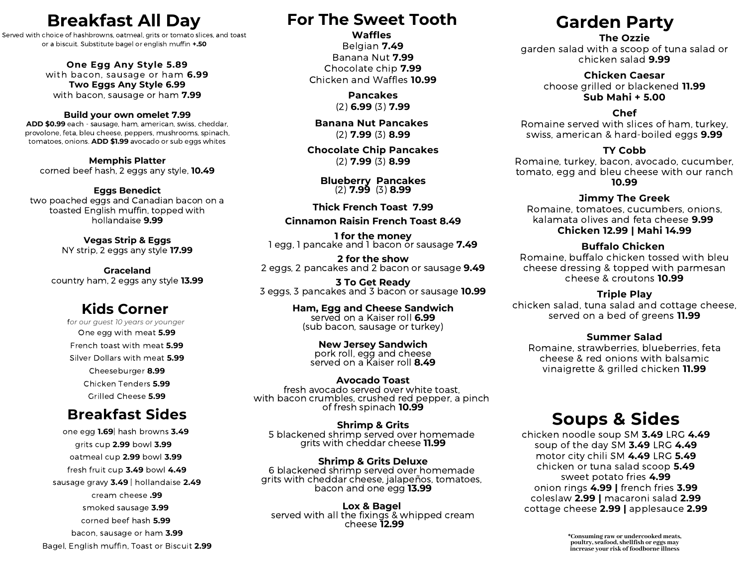## **Breakfast All Day**

Served with choice of hashbrowns, oatmeal, grits or tomato slices, and toast or a biscuit. Substitute bagel or english muffin **+.50**

#### **One Egg Any Style 5.89**

with bacon, sausage or ham **6.99 Two Eggs Any Style 6.99** with bacon, sausage or ham **7.99**

#### **Build your own omelet 7.99**

**ADD \$0.99** each - sausage, ham, american, swiss, cheddar, provolone, feta, bleu cheese, peppers, mushrooms, spinach, tomatoes, onions. **ADD \$1.99** avocado or sub eggs whites

**Memphis Platter** corned beef hash, 2 eggs any style, **10.49**

**Eggs Benedict** two poached eggs and Canadian bacon on a toasted English muffin, topped with hollandaise **9.99**

> **Vegas Strip & Eggs** NY strip, 2 eggs any style **17.99**

**Graceland** country ham, 2 eggs any style **13.99**

### **Kids Corner**

f*or our guest 10 years or younger* One egg with meat **5.99** French toast with meat **5.99** Silver Dollars with meat **5.99** Cheeseburger **8.99** Chicken Tenders **5.99** Grilled Cheese **5.99**

### **Breakfast Sides**

one egg **1.69**| hash browns **3.49** grits cup **2.99** bowl **3.99** oatmeal cup **2.99** bowl **3.99** fresh fruit cup **3.49** bowl **4.49** sausage gravy **3.49** | hollandaise **2.49** cream cheese **.99** smoked sausage **3.99** corned beef hash **5.99** bacon, sausage or ham **3.99** Bagel, English muffin, Toast or Biscuit **2.99**

### **For The Sweet Tooth**

**Waffles** Belgian **7.49** Banana Nut **7.99** Chocolate chip **7.99** Chicken and Waffles **10.99**

> **Pancakes** (2) **6.99** (3) **7.99**

**Banana Nut Pancakes** (2) **7.99** (3) **8.99**

**Chocolate Chip Pancakes** (2) **7.99** (3) **8.99**

> **Blueberry Pancakes** (2) **7.99** (3) **8.99**

**Thick French Toast 7.99**

### **Cinnamon Raisin French Toast 8.49**

**1 for the money** 1 egg, 1 pancake and 1 bacon or sausage **7.49**

**2 for the show** 2 eggs, 2 pancakes and 2 bacon or sausage **9.49**

**3 To Get Ready** 3 eggs, 3 pancakes and 3 bacon or sausage **10.99**

> **Ham, Egg and Cheese Sandwich** served on a Kaiser roll **6.99** (sub bacon, sausage or turkey)

> > **New Jersey Sandwich** pork roll, egg and cheese served on a Kaiser roll **8.49**

**Avocado Toast**<br>fresh avocado served over white toast. with bacon crumbles, crushed red pepper, a pinch of fresh spinach **10.99**

**Shrimp & Grits** 5 blackened shrimp served over homemade grits with cheddar cheese **11.99**

**Shrimp & Grits Deluxe** 6 blackened shrimp served over homemade grits with cheddar cheese, jalapeños, tomatoes, bacon and one egg **13.99**

**Lox & Bagel** served with all the fixings & whipped cream cheese **12.99**

# **Garden Party**

#### **The Ozzie**

garden salad with a scoop of tuna salad or chicken salad **9.99**

> **Chicken Caesar** choose grilled or blackened **11.99 Sub Mahi + 5.00**

### **Chef**

Romaine served with slices of ham, turkey, swiss, american & hard-boiled eggs **9.99**

#### **TY Cobb**

Romaine, turkey, bacon, avocado, cucumber, tomato, egg and bleu cheese with our ranch **10.99**

#### **Jimmy The Greek**

Romaine, tomatoes, cucumbers, onions, kalamata olives and feta cheese **9.99 Chicken 12.99 | Mahi 14.99**

#### **Buffalo Chicken**

Romaine, buffalo chicken tossed with bleu cheese dressing & topped with parmesan cheese & croutons **10.99**

#### **Triple Play**

chicken salad, tuna salad and cottage cheese, served on a bed of greens **11.99**

#### **Summer Salad**

Romaine, strawberries, blueberries, feta cheese & red onions with balsamic vinaigrette & grilled chicken **11.99**

### **Soups & Sides**

chicken noodle soup SM **3.49** LRG **4.49** soup of the day SM **3.49** LRG **4.49** motor city chili SM **4.49** LRG **5.49** chicken or tuna salad scoop **5.49** sweet potato fries **4.99** onion rings **4.99 |** french fries **3.99** coleslaw **2.99 |** macaroni salad **2.99** cottage cheese **2.99 |** applesauce **2.99**

\*Consuming raw or undercooked meats,<br>poultry, seafood, shellfish or eggs may<br>increase your risk of foodborne illness